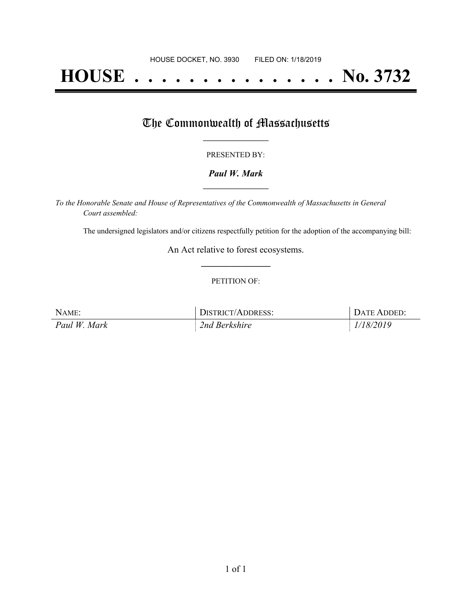# **HOUSE . . . . . . . . . . . . . . . No. 3732**

## The Commonwealth of Massachusetts

#### PRESENTED BY:

#### *Paul W. Mark* **\_\_\_\_\_\_\_\_\_\_\_\_\_\_\_\_\_**

*To the Honorable Senate and House of Representatives of the Commonwealth of Massachusetts in General Court assembled:*

The undersigned legislators and/or citizens respectfully petition for the adoption of the accompanying bill:

An Act relative to forest ecosystems. **\_\_\_\_\_\_\_\_\_\_\_\_\_\_\_**

#### PETITION OF:

| NAME:        | DISTRICT/ADDRESS: | DATE ADDED: |
|--------------|-------------------|-------------|
| Paul W. Mark | 2nd Berkshire     | 1/18/2019   |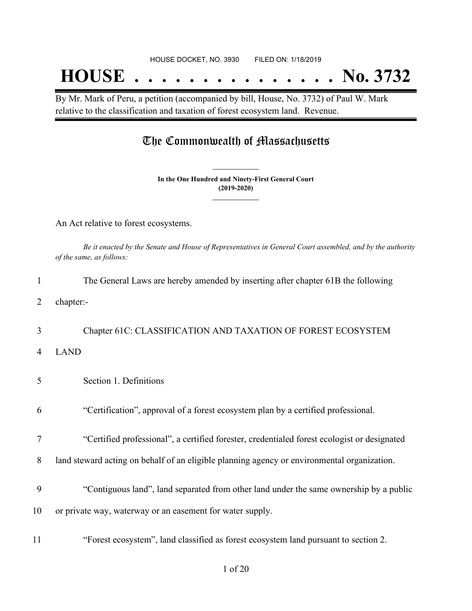## **HOUSE . . . . . . . . . . . . . . . No. 3732**

By Mr. Mark of Peru, a petition (accompanied by bill, House, No. 3732) of Paul W. Mark relative to the classification and taxation of forest ecosystem land. Revenue.

### The Commonwealth of Massachusetts

**In the One Hundred and Ninety-First General Court (2019-2020) \_\_\_\_\_\_\_\_\_\_\_\_\_\_\_**

**\_\_\_\_\_\_\_\_\_\_\_\_\_\_\_**

An Act relative to forest ecosystems.

Be it enacted by the Senate and House of Representatives in General Court assembled, and by the authority *of the same, as follows:*

| $\mathbf{1}$ | The General Laws are hereby amended by inserting after chapter 61B the following            |
|--------------|---------------------------------------------------------------------------------------------|
| 2            | chapter:-                                                                                   |
| 3            | Chapter 61C: CLASSIFICATION AND TAXATION OF FOREST ECOSYSTEM                                |
| 4            | <b>LAND</b>                                                                                 |
| 5            | Section 1. Definitions                                                                      |
| 6            | "Certification", approval of a forest ecosystem plan by a certified professional.           |
| 7            | "Certified professional", a certified forester, credentialed forest ecologist or designated |
| 8            | land steward acting on behalf of an eligible planning agency or environmental organization. |
| 9            | "Contiguous land", land separated from other land under the same ownership by a public      |
| 10           | or private way, waterway or an easement for water supply.                                   |
| 11           | "Forest ecosystem", land classified as forest ecosystem land pursuant to section 2.         |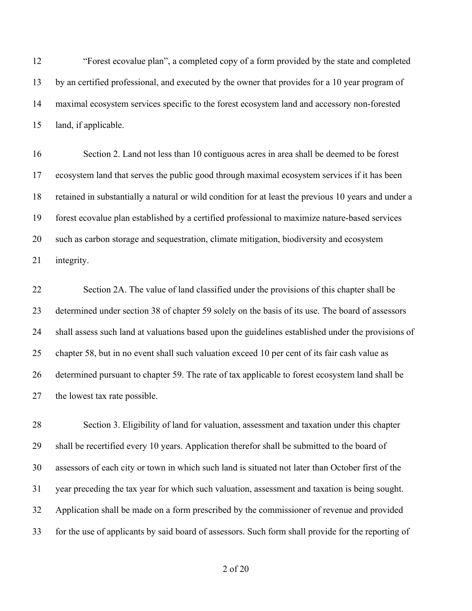"Forest ecovalue plan", a completed copy of a form provided by the state and completed by an certified professional, and executed by the owner that provides for a 10 year program of maximal ecosystem services specific to the forest ecosystem land and accessory non-forested land, if applicable.

 Section 2. Land not less than 10 contiguous acres in area shall be deemed to be forest ecosystem land that serves the public good through maximal ecosystem services if it has been retained in substantially a natural or wild condition for at least the previous 10 years and under a forest ecovalue plan established by a certified professional to maximize nature-based services such as carbon storage and sequestration, climate mitigation, biodiversity and ecosystem integrity.

 Section 2A. The value of land classified under the provisions of this chapter shall be determined under section 38 of chapter 59 solely on the basis of its use. The board of assessors shall assess such land at valuations based upon the guidelines established under the provisions of chapter 58, but in no event shall such valuation exceed 10 per cent of its fair cash value as determined pursuant to chapter 59. The rate of tax applicable to forest ecosystem land shall be the lowest tax rate possible.

 Section 3. Eligibility of land for valuation, assessment and taxation under this chapter shall be recertified every 10 years. Application therefor shall be submitted to the board of assessors of each city or town in which such land is situated not later than October first of the year preceding the tax year for which such valuation, assessment and taxation is being sought. Application shall be made on a form prescribed by the commissioner of revenue and provided for the use of applicants by said board of assessors. Such form shall provide for the reporting of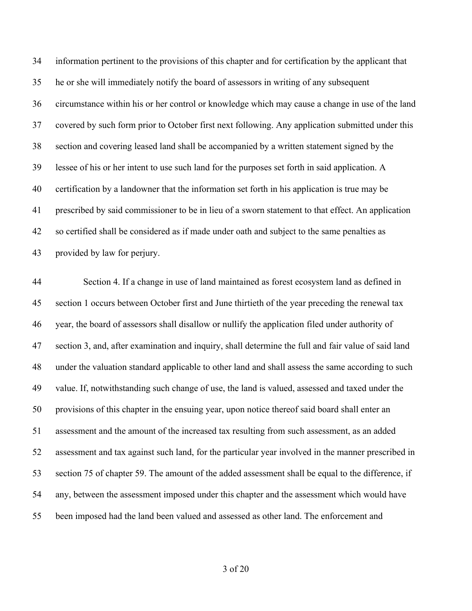information pertinent to the provisions of this chapter and for certification by the applicant that he or she will immediately notify the board of assessors in writing of any subsequent circumstance within his or her control or knowledge which may cause a change in use of the land covered by such form prior to October first next following. Any application submitted under this section and covering leased land shall be accompanied by a written statement signed by the lessee of his or her intent to use such land for the purposes set forth in said application. A certification by a landowner that the information set forth in his application is true may be prescribed by said commissioner to be in lieu of a sworn statement to that effect. An application so certified shall be considered as if made under oath and subject to the same penalties as provided by law for perjury.

 Section 4. If a change in use of land maintained as forest ecosystem land as defined in section 1 occurs between October first and June thirtieth of the year preceding the renewal tax year, the board of assessors shall disallow or nullify the application filed under authority of section 3, and, after examination and inquiry, shall determine the full and fair value of said land under the valuation standard applicable to other land and shall assess the same according to such value. If, notwithstanding such change of use, the land is valued, assessed and taxed under the provisions of this chapter in the ensuing year, upon notice thereof said board shall enter an assessment and the amount of the increased tax resulting from such assessment, as an added assessment and tax against such land, for the particular year involved in the manner prescribed in section 75 of chapter 59. The amount of the added assessment shall be equal to the difference, if any, between the assessment imposed under this chapter and the assessment which would have been imposed had the land been valued and assessed as other land. The enforcement and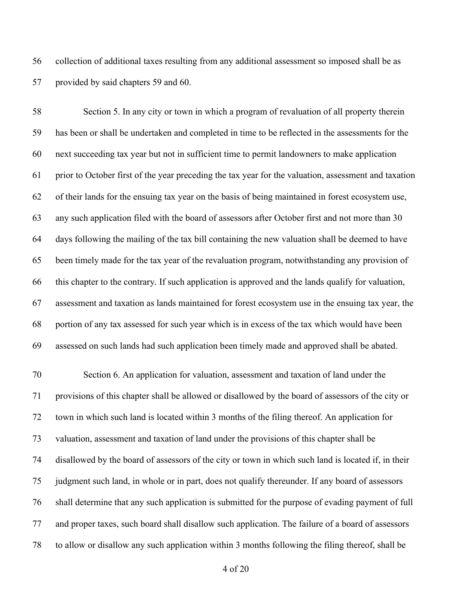collection of additional taxes resulting from any additional assessment so imposed shall be as provided by said chapters 59 and 60.

 Section 5. In any city or town in which a program of revaluation of all property therein has been or shall be undertaken and completed in time to be reflected in the assessments for the next succeeding tax year but not in sufficient time to permit landowners to make application prior to October first of the year preceding the tax year for the valuation, assessment and taxation of their lands for the ensuing tax year on the basis of being maintained in forest ecosystem use, any such application filed with the board of assessors after October first and not more than 30 days following the mailing of the tax bill containing the new valuation shall be deemed to have been timely made for the tax year of the revaluation program, notwithstanding any provision of this chapter to the contrary. If such application is approved and the lands qualify for valuation, assessment and taxation as lands maintained for forest ecosystem use in the ensuing tax year, the portion of any tax assessed for such year which is in excess of the tax which would have been assessed on such lands had such application been timely made and approved shall be abated.

 Section 6. An application for valuation, assessment and taxation of land under the provisions of this chapter shall be allowed or disallowed by the board of assessors of the city or town in which such land is located within 3 months of the filing thereof. An application for valuation, assessment and taxation of land under the provisions of this chapter shall be disallowed by the board of assessors of the city or town in which such land is located if, in their judgment such land, in whole or in part, does not qualify thereunder. If any board of assessors shall determine that any such application is submitted for the purpose of evading payment of full and proper taxes, such board shall disallow such application. The failure of a board of assessors to allow or disallow any such application within 3 months following the filing thereof, shall be

of 20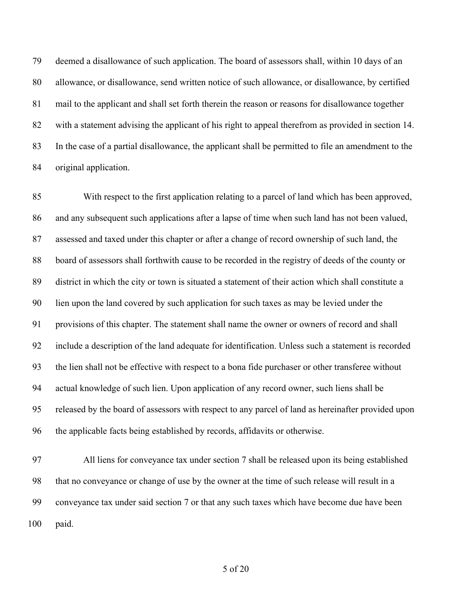deemed a disallowance of such application. The board of assessors shall, within 10 days of an allowance, or disallowance, send written notice of such allowance, or disallowance, by certified mail to the applicant and shall set forth therein the reason or reasons for disallowance together with a statement advising the applicant of his right to appeal therefrom as provided in section 14. In the case of a partial disallowance, the applicant shall be permitted to file an amendment to the original application.

 With respect to the first application relating to a parcel of land which has been approved, and any subsequent such applications after a lapse of time when such land has not been valued, assessed and taxed under this chapter or after a change of record ownership of such land, the board of assessors shall forthwith cause to be recorded in the registry of deeds of the county or district in which the city or town is situated a statement of their action which shall constitute a lien upon the land covered by such application for such taxes as may be levied under the provisions of this chapter. The statement shall name the owner or owners of record and shall include a description of the land adequate for identification. Unless such a statement is recorded the lien shall not be effective with respect to a bona fide purchaser or other transferee without actual knowledge of such lien. Upon application of any record owner, such liens shall be released by the board of assessors with respect to any parcel of land as hereinafter provided upon the applicable facts being established by records, affidavits or otherwise.

 All liens for conveyance tax under section 7 shall be released upon its being established that no conveyance or change of use by the owner at the time of such release will result in a conveyance tax under said section 7 or that any such taxes which have become due have been paid.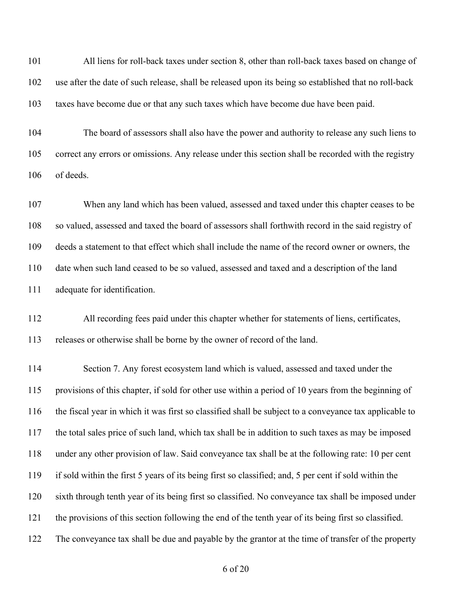All liens for roll-back taxes under section 8, other than roll-back taxes based on change of use after the date of such release, shall be released upon its being so established that no roll-back taxes have become due or that any such taxes which have become due have been paid.

 The board of assessors shall also have the power and authority to release any such liens to correct any errors or omissions. Any release under this section shall be recorded with the registry of deeds.

 When any land which has been valued, assessed and taxed under this chapter ceases to be so valued, assessed and taxed the board of assessors shall forthwith record in the said registry of deeds a statement to that effect which shall include the name of the record owner or owners, the date when such land ceased to be so valued, assessed and taxed and a description of the land adequate for identification.

 All recording fees paid under this chapter whether for statements of liens, certificates, releases or otherwise shall be borne by the owner of record of the land.

 Section 7. Any forest ecosystem land which is valued, assessed and taxed under the provisions of this chapter, if sold for other use within a period of 10 years from the beginning of the fiscal year in which it was first so classified shall be subject to a conveyance tax applicable to the total sales price of such land, which tax shall be in addition to such taxes as may be imposed under any other provision of law. Said conveyance tax shall be at the following rate: 10 per cent if sold within the first 5 years of its being first so classified; and, 5 per cent if sold within the sixth through tenth year of its being first so classified. No conveyance tax shall be imposed under the provisions of this section following the end of the tenth year of its being first so classified. The conveyance tax shall be due and payable by the grantor at the time of transfer of the property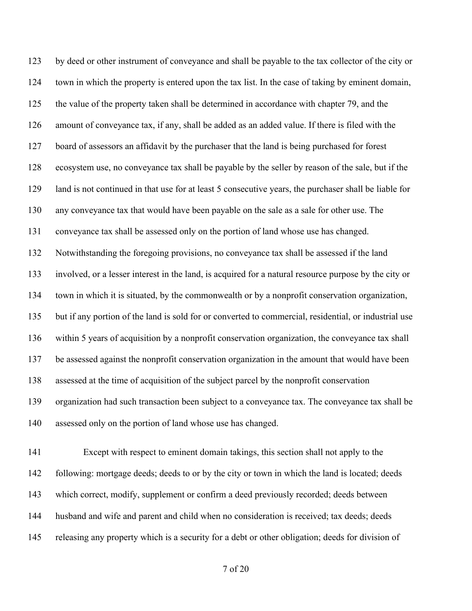by deed or other instrument of conveyance and shall be payable to the tax collector of the city or town in which the property is entered upon the tax list. In the case of taking by eminent domain, the value of the property taken shall be determined in accordance with chapter 79, and the amount of conveyance tax, if any, shall be added as an added value. If there is filed with the board of assessors an affidavit by the purchaser that the land is being purchased for forest ecosystem use, no conveyance tax shall be payable by the seller by reason of the sale, but if the land is not continued in that use for at least 5 consecutive years, the purchaser shall be liable for any conveyance tax that would have been payable on the sale as a sale for other use. The conveyance tax shall be assessed only on the portion of land whose use has changed. Notwithstanding the foregoing provisions, no conveyance tax shall be assessed if the land involved, or a lesser interest in the land, is acquired for a natural resource purpose by the city or town in which it is situated, by the commonwealth or by a nonprofit conservation organization, but if any portion of the land is sold for or converted to commercial, residential, or industrial use within 5 years of acquisition by a nonprofit conservation organization, the conveyance tax shall be assessed against the nonprofit conservation organization in the amount that would have been assessed at the time of acquisition of the subject parcel by the nonprofit conservation organization had such transaction been subject to a conveyance tax. The conveyance tax shall be assessed only on the portion of land whose use has changed.

 Except with respect to eminent domain takings, this section shall not apply to the following: mortgage deeds; deeds to or by the city or town in which the land is located; deeds which correct, modify, supplement or confirm a deed previously recorded; deeds between husband and wife and parent and child when no consideration is received; tax deeds; deeds releasing any property which is a security for a debt or other obligation; deeds for division of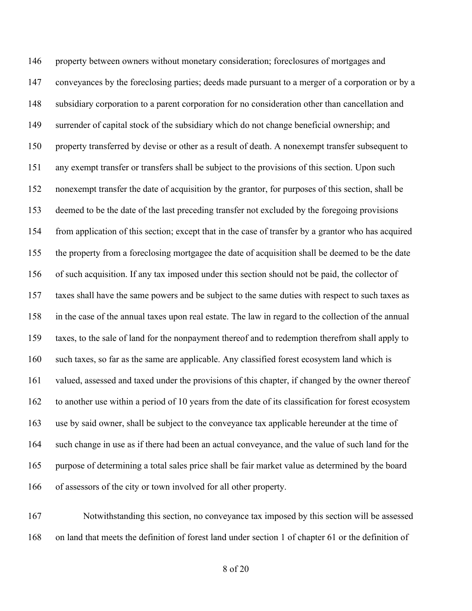146 property between owners without monetary consideration; foreclosures of mortgages and conveyances by the foreclosing parties; deeds made pursuant to a merger of a corporation or by a subsidiary corporation to a parent corporation for no consideration other than cancellation and surrender of capital stock of the subsidiary which do not change beneficial ownership; and property transferred by devise or other as a result of death. A nonexempt transfer subsequent to any exempt transfer or transfers shall be subject to the provisions of this section. Upon such nonexempt transfer the date of acquisition by the grantor, for purposes of this section, shall be deemed to be the date of the last preceding transfer not excluded by the foregoing provisions from application of this section; except that in the case of transfer by a grantor who has acquired the property from a foreclosing mortgagee the date of acquisition shall be deemed to be the date of such acquisition. If any tax imposed under this section should not be paid, the collector of taxes shall have the same powers and be subject to the same duties with respect to such taxes as in the case of the annual taxes upon real estate. The law in regard to the collection of the annual taxes, to the sale of land for the nonpayment thereof and to redemption therefrom shall apply to such taxes, so far as the same are applicable. Any classified forest ecosystem land which is valued, assessed and taxed under the provisions of this chapter, if changed by the owner thereof to another use within a period of 10 years from the date of its classification for forest ecosystem use by said owner, shall be subject to the conveyance tax applicable hereunder at the time of such change in use as if there had been an actual conveyance, and the value of such land for the purpose of determining a total sales price shall be fair market value as determined by the board of assessors of the city or town involved for all other property.

 Notwithstanding this section, no conveyance tax imposed by this section will be assessed on land that meets the definition of forest land under section 1 of chapter 61 or the definition of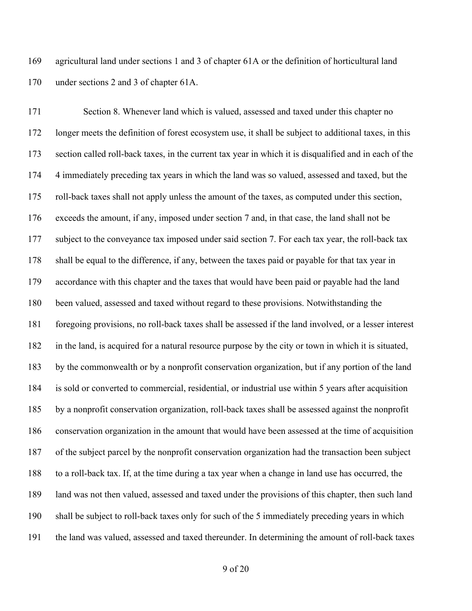agricultural land under sections 1 and 3 of chapter 61A or the definition of horticultural land under sections 2 and 3 of chapter 61A.

 Section 8. Whenever land which is valued, assessed and taxed under this chapter no longer meets the definition of forest ecosystem use, it shall be subject to additional taxes, in this section called roll-back taxes, in the current tax year in which it is disqualified and in each of the 4 immediately preceding tax years in which the land was so valued, assessed and taxed, but the roll-back taxes shall not apply unless the amount of the taxes, as computed under this section, exceeds the amount, if any, imposed under section 7 and, in that case, the land shall not be subject to the conveyance tax imposed under said section 7. For each tax year, the roll-back tax shall be equal to the difference, if any, between the taxes paid or payable for that tax year in accordance with this chapter and the taxes that would have been paid or payable had the land been valued, assessed and taxed without regard to these provisions. Notwithstanding the foregoing provisions, no roll-back taxes shall be assessed if the land involved, or a lesser interest in the land, is acquired for a natural resource purpose by the city or town in which it is situated, by the commonwealth or by a nonprofit conservation organization, but if any portion of the land is sold or converted to commercial, residential, or industrial use within 5 years after acquisition by a nonprofit conservation organization, roll-back taxes shall be assessed against the nonprofit conservation organization in the amount that would have been assessed at the time of acquisition of the subject parcel by the nonprofit conservation organization had the transaction been subject to a roll-back tax. If, at the time during a tax year when a change in land use has occurred, the land was not then valued, assessed and taxed under the provisions of this chapter, then such land shall be subject to roll-back taxes only for such of the 5 immediately preceding years in which the land was valued, assessed and taxed thereunder. In determining the amount of roll-back taxes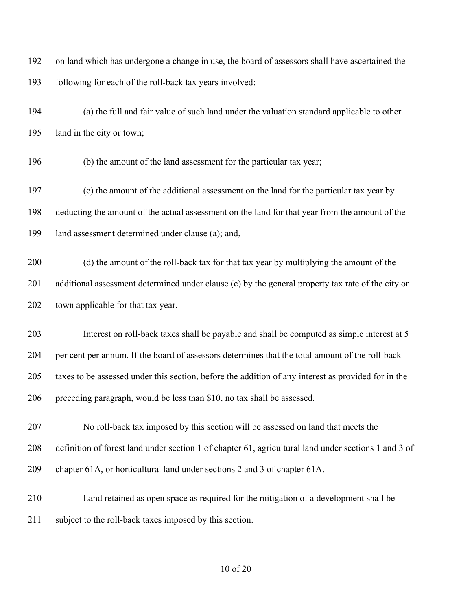on land which has undergone a change in use, the board of assessors shall have ascertained the following for each of the roll-back tax years involved:

 (a) the full and fair value of such land under the valuation standard applicable to other land in the city or town;

(b) the amount of the land assessment for the particular tax year;

 (c) the amount of the additional assessment on the land for the particular tax year by deducting the amount of the actual assessment on the land for that year from the amount of the land assessment determined under clause (a); and,

 (d) the amount of the roll-back tax for that tax year by multiplying the amount of the additional assessment determined under clause (c) by the general property tax rate of the city or town applicable for that tax year.

 Interest on roll-back taxes shall be payable and shall be computed as simple interest at 5 per cent per annum. If the board of assessors determines that the total amount of the roll-back taxes to be assessed under this section, before the addition of any interest as provided for in the preceding paragraph, would be less than \$10, no tax shall be assessed.

 No roll-back tax imposed by this section will be assessed on land that meets the definition of forest land under section 1 of chapter 61, agricultural land under sections 1 and 3 of chapter 61A, or horticultural land under sections 2 and 3 of chapter 61A.

 Land retained as open space as required for the mitigation of a development shall be 211 subject to the roll-back taxes imposed by this section.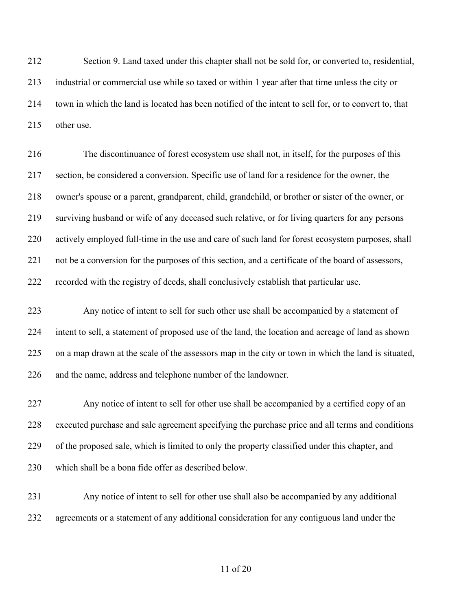Section 9. Land taxed under this chapter shall not be sold for, or converted to, residential, industrial or commercial use while so taxed or within 1 year after that time unless the city or town in which the land is located has been notified of the intent to sell for, or to convert to, that other use.

 The discontinuance of forest ecosystem use shall not, in itself, for the purposes of this section, be considered a conversion. Specific use of land for a residence for the owner, the owner's spouse or a parent, grandparent, child, grandchild, or brother or sister of the owner, or surviving husband or wife of any deceased such relative, or for living quarters for any persons actively employed full-time in the use and care of such land for forest ecosystem purposes, shall not be a conversion for the purposes of this section, and a certificate of the board of assessors, recorded with the registry of deeds, shall conclusively establish that particular use.

 Any notice of intent to sell for such other use shall be accompanied by a statement of intent to sell, a statement of proposed use of the land, the location and acreage of land as shown on a map drawn at the scale of the assessors map in the city or town in which the land is situated, and the name, address and telephone number of the landowner.

 Any notice of intent to sell for other use shall be accompanied by a certified copy of an executed purchase and sale agreement specifying the purchase price and all terms and conditions of the proposed sale, which is limited to only the property classified under this chapter, and which shall be a bona fide offer as described below.

 Any notice of intent to sell for other use shall also be accompanied by any additional agreements or a statement of any additional consideration for any contiguous land under the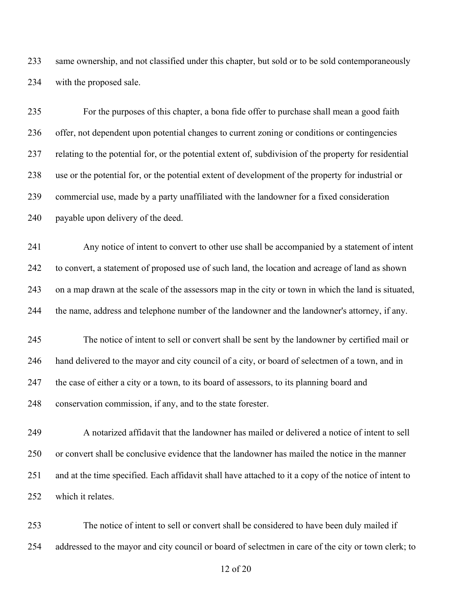same ownership, and not classified under this chapter, but sold or to be sold contemporaneously with the proposed sale.

 For the purposes of this chapter, a bona fide offer to purchase shall mean a good faith offer, not dependent upon potential changes to current zoning or conditions or contingencies relating to the potential for, or the potential extent of, subdivision of the property for residential use or the potential for, or the potential extent of development of the property for industrial or commercial use, made by a party unaffiliated with the landowner for a fixed consideration payable upon delivery of the deed.

 Any notice of intent to convert to other use shall be accompanied by a statement of intent to convert, a statement of proposed use of such land, the location and acreage of land as shown on a map drawn at the scale of the assessors map in the city or town in which the land is situated, the name, address and telephone number of the landowner and the landowner's attorney, if any.

 The notice of intent to sell or convert shall be sent by the landowner by certified mail or hand delivered to the mayor and city council of a city, or board of selectmen of a town, and in the case of either a city or a town, to its board of assessors, to its planning board and conservation commission, if any, and to the state forester.

 A notarized affidavit that the landowner has mailed or delivered a notice of intent to sell or convert shall be conclusive evidence that the landowner has mailed the notice in the manner and at the time specified. Each affidavit shall have attached to it a copy of the notice of intent to which it relates.

 The notice of intent to sell or convert shall be considered to have been duly mailed if addressed to the mayor and city council or board of selectmen in care of the city or town clerk; to

of 20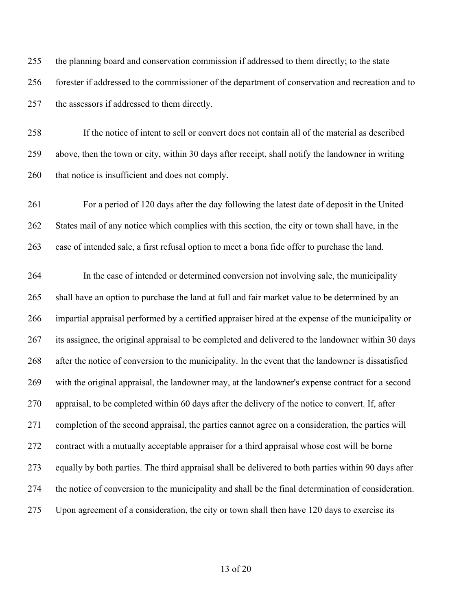the planning board and conservation commission if addressed to them directly; to the state forester if addressed to the commissioner of the department of conservation and recreation and to the assessors if addressed to them directly.

 If the notice of intent to sell or convert does not contain all of the material as described above, then the town or city, within 30 days after receipt, shall notify the landowner in writing that notice is insufficient and does not comply.

 For a period of 120 days after the day following the latest date of deposit in the United 262 States mail of any notice which complies with this section, the city or town shall have, in the case of intended sale, a first refusal option to meet a bona fide offer to purchase the land.

 In the case of intended or determined conversion not involving sale, the municipality shall have an option to purchase the land at full and fair market value to be determined by an impartial appraisal performed by a certified appraiser hired at the expense of the municipality or its assignee, the original appraisal to be completed and delivered to the landowner within 30 days after the notice of conversion to the municipality. In the event that the landowner is dissatisfied with the original appraisal, the landowner may, at the landowner's expense contract for a second appraisal, to be completed within 60 days after the delivery of the notice to convert. If, after completion of the second appraisal, the parties cannot agree on a consideration, the parties will contract with a mutually acceptable appraiser for a third appraisal whose cost will be borne equally by both parties. The third appraisal shall be delivered to both parties within 90 days after the notice of conversion to the municipality and shall be the final determination of consideration. Upon agreement of a consideration, the city or town shall then have 120 days to exercise its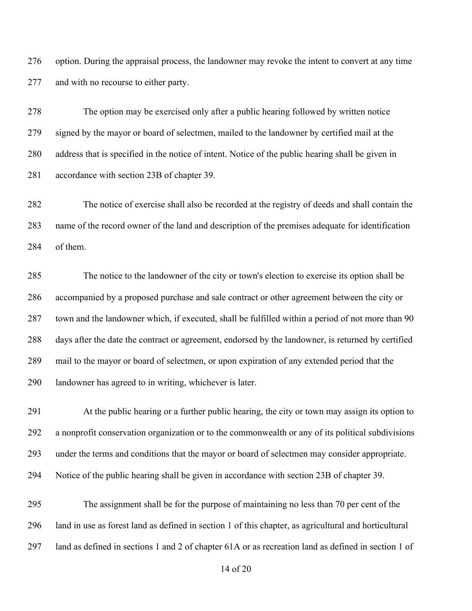option. During the appraisal process, the landowner may revoke the intent to convert at any time and with no recourse to either party.

 The option may be exercised only after a public hearing followed by written notice signed by the mayor or board of selectmen, mailed to the landowner by certified mail at the address that is specified in the notice of intent. Notice of the public hearing shall be given in accordance with section 23B of chapter 39.

 The notice of exercise shall also be recorded at the registry of deeds and shall contain the name of the record owner of the land and description of the premises adequate for identification of them.

 The notice to the landowner of the city or town's election to exercise its option shall be accompanied by a proposed purchase and sale contract or other agreement between the city or town and the landowner which, if executed, shall be fulfilled within a period of not more than 90 days after the date the contract or agreement, endorsed by the landowner, is returned by certified mail to the mayor or board of selectmen, or upon expiration of any extended period that the landowner has agreed to in writing, whichever is later.

 At the public hearing or a further public hearing, the city or town may assign its option to a nonprofit conservation organization or to the commonwealth or any of its political subdivisions under the terms and conditions that the mayor or board of selectmen may consider appropriate. Notice of the public hearing shall be given in accordance with section 23B of chapter 39.

 The assignment shall be for the purpose of maintaining no less than 70 per cent of the land in use as forest land as defined in section 1 of this chapter, as agricultural and horticultural land as defined in sections 1 and 2 of chapter 61A or as recreation land as defined in section 1 of

of 20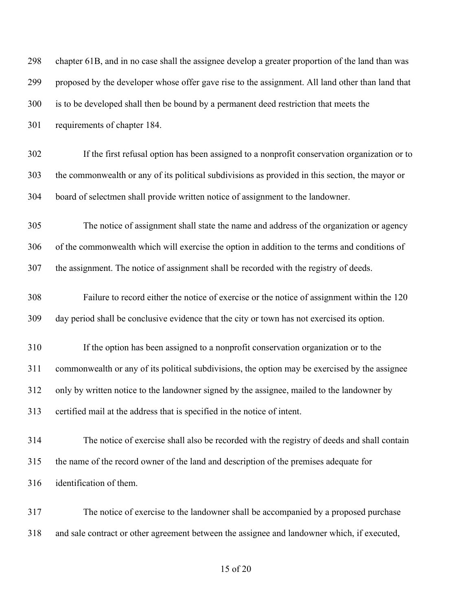| 298 | chapter 61B, and in no case shall the assignee develop a greater proportion of the land than was |
|-----|--------------------------------------------------------------------------------------------------|
| 299 | proposed by the developer whose offer gave rise to the assignment. All land other than land that |
| 300 | is to be developed shall then be bound by a permanent deed restriction that meets the            |
| 301 | requirements of chapter 184.                                                                     |
| 302 | If the first refusal option has been assigned to a nonprofit conservation organization or to     |
| 303 | the commonwealth or any of its political subdivisions as provided in this section, the mayor or  |
| 304 | board of selectmen shall provide written notice of assignment to the landowner.                  |
| 305 | The notice of assignment shall state the name and address of the organization or agency          |
| 306 | of the commonwealth which will exercise the option in addition to the terms and conditions of    |
| 307 | the assignment. The notice of assignment shall be recorded with the registry of deeds.           |
| 308 | Failure to record either the notice of exercise or the notice of assignment within the 120       |
| 309 | day period shall be conclusive evidence that the city or town has not exercised its option.      |
| 310 | If the option has been assigned to a nonprofit conservation organization or to the               |
| 311 | commonwealth or any of its political subdivisions, the option may be exercised by the assignee   |
| 312 | only by written notice to the landowner signed by the assignee, mailed to the landowner by       |
| 313 | certified mail at the address that is specified in the notice of intent.                         |
| 314 | The notice of exercise shall also be recorded with the registry of deeds and shall contain       |
| 315 | the name of the record owner of the land and description of the premises adequate for            |
| 316 | identification of them.                                                                          |
| 317 | The notice of exercise to the landowner shall be accompanied by a proposed purchase              |
| 318 | and sale contract or other agreement between the assignee and landowner which, if executed,      |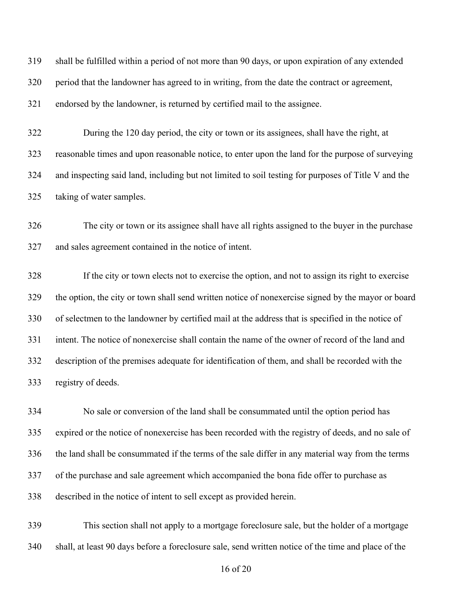shall be fulfilled within a period of not more than 90 days, or upon expiration of any extended period that the landowner has agreed to in writing, from the date the contract or agreement, endorsed by the landowner, is returned by certified mail to the assignee.

 During the 120 day period, the city or town or its assignees, shall have the right, at reasonable times and upon reasonable notice, to enter upon the land for the purpose of surveying and inspecting said land, including but not limited to soil testing for purposes of Title V and the taking of water samples.

 The city or town or its assignee shall have all rights assigned to the buyer in the purchase and sales agreement contained in the notice of intent.

 If the city or town elects not to exercise the option, and not to assign its right to exercise the option, the city or town shall send written notice of nonexercise signed by the mayor or board of selectmen to the landowner by certified mail at the address that is specified in the notice of intent. The notice of nonexercise shall contain the name of the owner of record of the land and description of the premises adequate for identification of them, and shall be recorded with the registry of deeds.

 No sale or conversion of the land shall be consummated until the option period has expired or the notice of nonexercise has been recorded with the registry of deeds, and no sale of the land shall be consummated if the terms of the sale differ in any material way from the terms of the purchase and sale agreement which accompanied the bona fide offer to purchase as described in the notice of intent to sell except as provided herein.

 This section shall not apply to a mortgage foreclosure sale, but the holder of a mortgage shall, at least 90 days before a foreclosure sale, send written notice of the time and place of the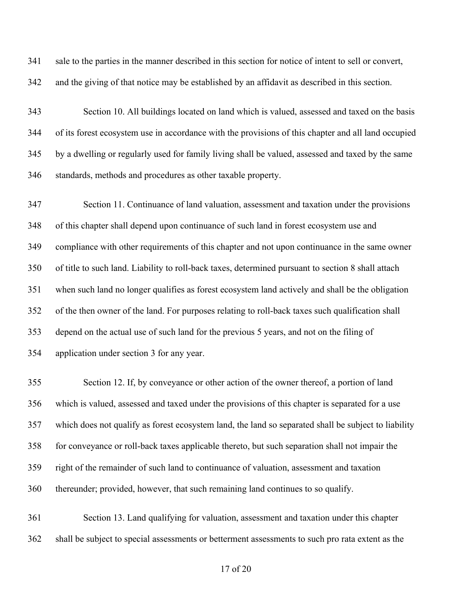sale to the parties in the manner described in this section for notice of intent to sell or convert, and the giving of that notice may be established by an affidavit as described in this section.

 Section 10. All buildings located on land which is valued, assessed and taxed on the basis of its forest ecosystem use in accordance with the provisions of this chapter and all land occupied by a dwelling or regularly used for family living shall be valued, assessed and taxed by the same standards, methods and procedures as other taxable property.

 Section 11. Continuance of land valuation, assessment and taxation under the provisions of this chapter shall depend upon continuance of such land in forest ecosystem use and compliance with other requirements of this chapter and not upon continuance in the same owner of title to such land. Liability to roll-back taxes, determined pursuant to section 8 shall attach when such land no longer qualifies as forest ecosystem land actively and shall be the obligation of the then owner of the land. For purposes relating to roll-back taxes such qualification shall depend on the actual use of such land for the previous 5 years, and not on the filing of application under section 3 for any year.

 Section 12. If, by conveyance or other action of the owner thereof, a portion of land which is valued, assessed and taxed under the provisions of this chapter is separated for a use which does not qualify as forest ecosystem land, the land so separated shall be subject to liability for conveyance or roll-back taxes applicable thereto, but such separation shall not impair the right of the remainder of such land to continuance of valuation, assessment and taxation thereunder; provided, however, that such remaining land continues to so qualify.

 Section 13. Land qualifying for valuation, assessment and taxation under this chapter shall be subject to special assessments or betterment assessments to such pro rata extent as the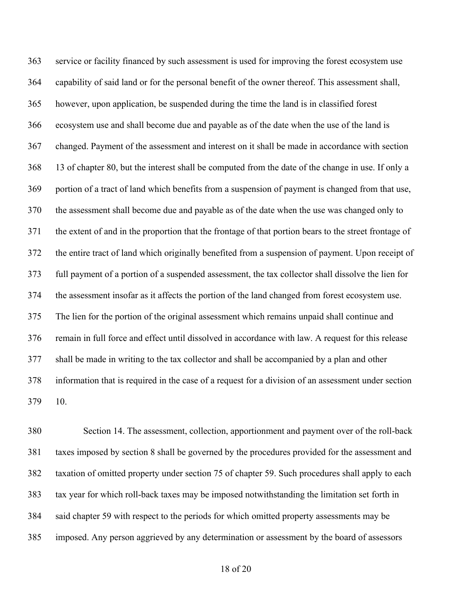service or facility financed by such assessment is used for improving the forest ecosystem use capability of said land or for the personal benefit of the owner thereof. This assessment shall, however, upon application, be suspended during the time the land is in classified forest ecosystem use and shall become due and payable as of the date when the use of the land is changed. Payment of the assessment and interest on it shall be made in accordance with section 13 of chapter 80, but the interest shall be computed from the date of the change in use. If only a portion of a tract of land which benefits from a suspension of payment is changed from that use, the assessment shall become due and payable as of the date when the use was changed only to the extent of and in the proportion that the frontage of that portion bears to the street frontage of the entire tract of land which originally benefited from a suspension of payment. Upon receipt of full payment of a portion of a suspended assessment, the tax collector shall dissolve the lien for the assessment insofar as it affects the portion of the land changed from forest ecosystem use. The lien for the portion of the original assessment which remains unpaid shall continue and remain in full force and effect until dissolved in accordance with law. A request for this release shall be made in writing to the tax collector and shall be accompanied by a plan and other information that is required in the case of a request for a division of an assessment under section 10.

 Section 14. The assessment, collection, apportionment and payment over of the roll-back taxes imposed by section 8 shall be governed by the procedures provided for the assessment and taxation of omitted property under section 75 of chapter 59. Such procedures shall apply to each tax year for which roll-back taxes may be imposed notwithstanding the limitation set forth in said chapter 59 with respect to the periods for which omitted property assessments may be imposed. Any person aggrieved by any determination or assessment by the board of assessors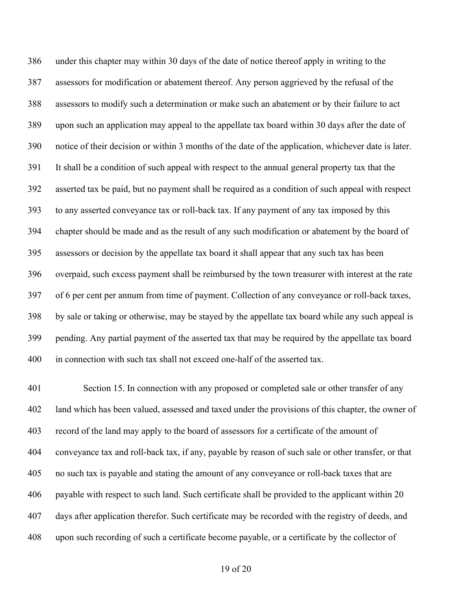under this chapter may within 30 days of the date of notice thereof apply in writing to the assessors for modification or abatement thereof. Any person aggrieved by the refusal of the assessors to modify such a determination or make such an abatement or by their failure to act upon such an application may appeal to the appellate tax board within 30 days after the date of notice of their decision or within 3 months of the date of the application, whichever date is later. It shall be a condition of such appeal with respect to the annual general property tax that the asserted tax be paid, but no payment shall be required as a condition of such appeal with respect to any asserted conveyance tax or roll-back tax. If any payment of any tax imposed by this chapter should be made and as the result of any such modification or abatement by the board of assessors or decision by the appellate tax board it shall appear that any such tax has been overpaid, such excess payment shall be reimbursed by the town treasurer with interest at the rate of 6 per cent per annum from time of payment. Collection of any conveyance or roll-back taxes, by sale or taking or otherwise, may be stayed by the appellate tax board while any such appeal is pending. Any partial payment of the asserted tax that may be required by the appellate tax board in connection with such tax shall not exceed one-half of the asserted tax.

 Section 15. In connection with any proposed or completed sale or other transfer of any land which has been valued, assessed and taxed under the provisions of this chapter, the owner of record of the land may apply to the board of assessors for a certificate of the amount of conveyance tax and roll-back tax, if any, payable by reason of such sale or other transfer, or that no such tax is payable and stating the amount of any conveyance or roll-back taxes that are payable with respect to such land. Such certificate shall be provided to the applicant within 20 days after application therefor. Such certificate may be recorded with the registry of deeds, and upon such recording of such a certificate become payable, or a certificate by the collector of